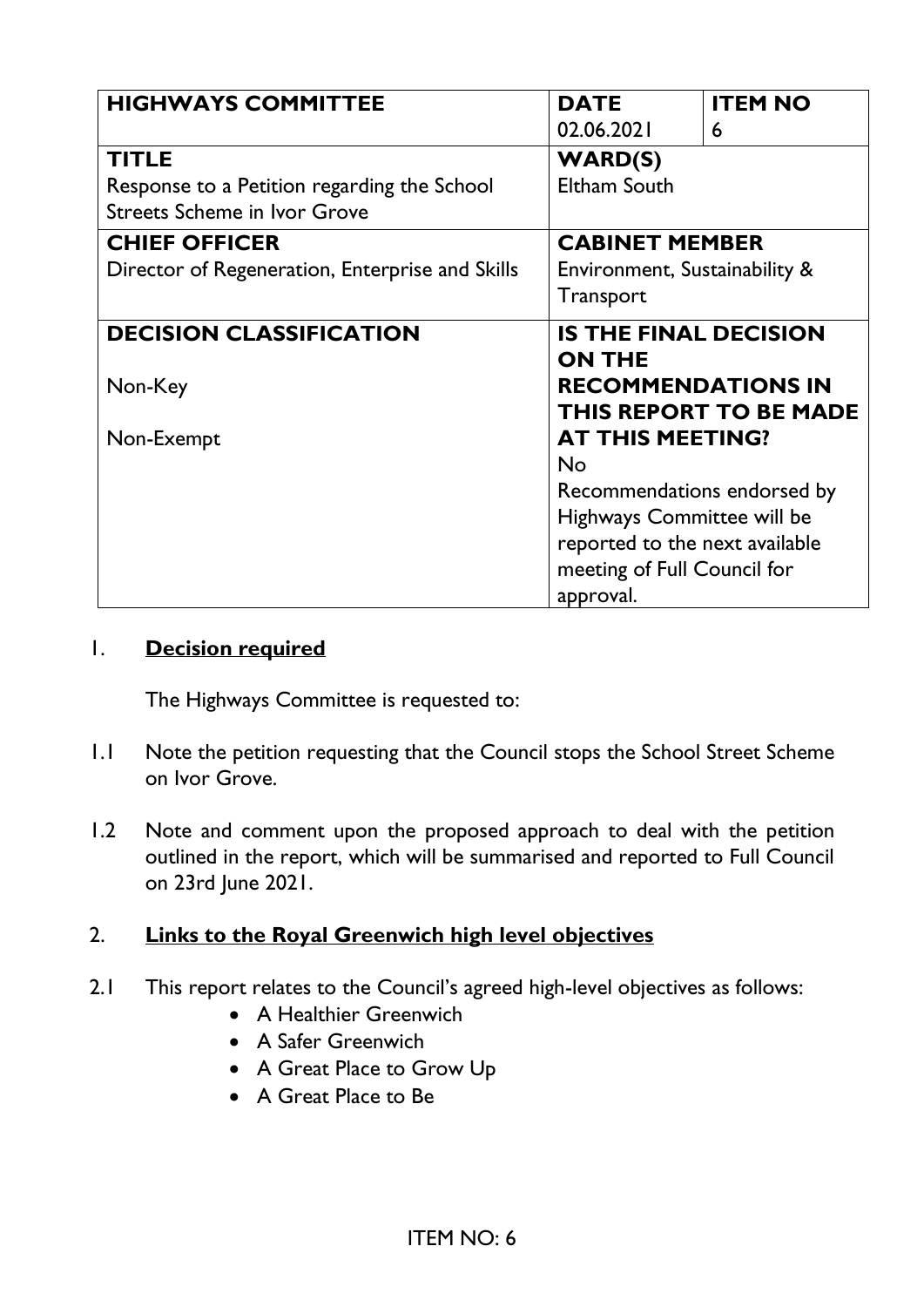| <b>HIGHWAYS COMMITTEE</b>                       | <b>DATE</b>                                   | <b>ITEM NO</b>                |
|-------------------------------------------------|-----------------------------------------------|-------------------------------|
|                                                 | 02.06.2021                                    | 6                             |
| <b>TITLE</b>                                    | <b>WARD(S)</b>                                |                               |
| Response to a Petition regarding the School     | Eltham South                                  |                               |
| <b>Streets Scheme in Ivor Grove</b>             |                                               |                               |
| <b>CHIEF OFFICER</b>                            | <b>CABINET MEMBER</b>                         |                               |
| Director of Regeneration, Enterprise and Skills | Environment, Sustainability &                 |                               |
|                                                 | <b>Transport</b>                              |                               |
| <b>DECISION CLASSIFICATION</b>                  | <b>IS THE FINAL DECISION</b><br><b>ON THE</b> |                               |
| Non-Key                                         | <b>RECOMMENDATIONS IN</b>                     | <b>THIS REPORT TO BE MADE</b> |
| Non-Exempt                                      | <b>AT THIS MEETING?</b>                       |                               |
|                                                 | <b>No</b>                                     |                               |
|                                                 | Recommendations endorsed by                   |                               |
|                                                 | Highways Committee will be                    |                               |
|                                                 | reported to the next available                |                               |
|                                                 | meeting of Full Council for                   |                               |
|                                                 | approval.                                     |                               |

### 1. **Decision required**

The Highways Committee is requested to:

- 1.1 Note the petition requesting that the Council stops the School Street Scheme on Ivor Grove.
- 1.2 Note and comment upon the proposed approach to deal with the petition outlined in the report, which will be summarised and reported to Full Council on 23rd June 2021.

## 2. **Links to the Royal Greenwich high level objectives**

- 2.1 This report relates to the Council's agreed high-level objectives as follows:
	- A Healthier Greenwich
	- A Safer Greenwich
	- A Great Place to Grow Up
	- A Great Place to Be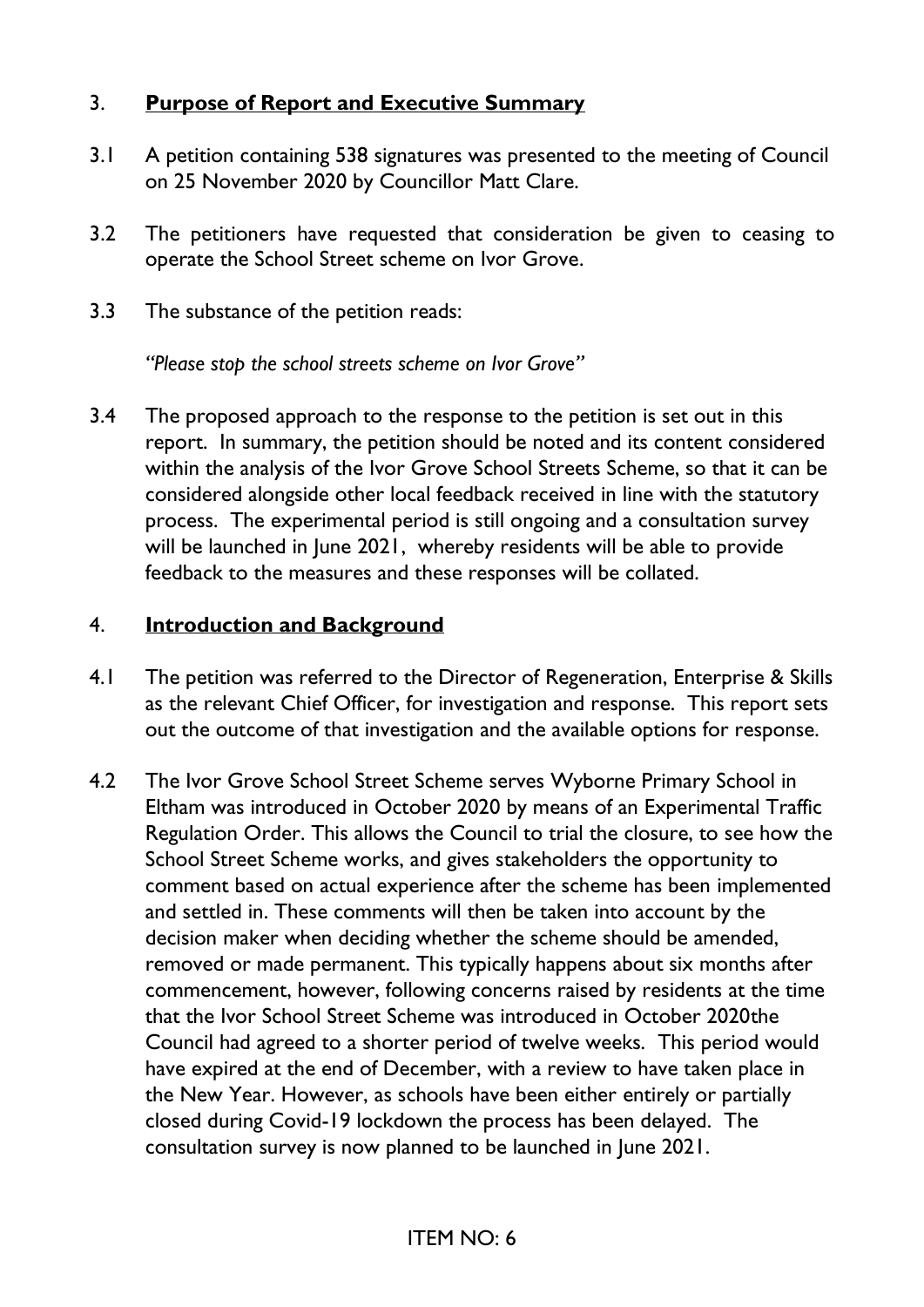## 3. **Purpose of Report and Executive Summary**

- 3.1 A petition containing 538 signatures was presented to the meeting of Council on 25 November 2020 by Councillor Matt Clare.
- 3.2 The petitioners have requested that consideration be given to ceasing to operate the School Street scheme on Ivor Grove.
- 3.3 The substance of the petition reads:

*"Please stop the school streets scheme on Ivor Grove"*

3.4 The proposed approach to the response to the petition is set out in this report. In summary, the petition should be noted and its content considered within the analysis of the Ivor Grove School Streets Scheme, so that it can be considered alongside other local feedback received in line with the statutory process. The experimental period is still ongoing and a consultation survey will be launched in June 2021, whereby residents will be able to provide feedback to the measures and these responses will be collated.

#### 4. **Introduction and Background**

- 4.1 The petition was referred to the Director of Regeneration, Enterprise & Skills as the relevant Chief Officer, for investigation and response. This report sets out the outcome of that investigation and the available options for response.
- 4.2 The Ivor Grove School Street Scheme serves Wyborne Primary School in Eltham was introduced in October 2020 by means of an Experimental Traffic Regulation Order. This allows the Council to trial the closure, to see how the School Street Scheme works, and gives stakeholders the opportunity to comment based on actual experience after the scheme has been implemented and settled in. These comments will then be taken into account by the decision maker when deciding whether the scheme should be amended, removed or made permanent. This typically happens about six months after commencement, however, following concerns raised by residents at the time that the Ivor School Street Scheme was introduced in October 2020the Council had agreed to a shorter period of twelve weeks. This period would have expired at the end of December, with a review to have taken place in the New Year. However, as schools have been either entirely or partially closed during Covid-19 lockdown the process has been delayed. The consultation survey is now planned to be launched in June 2021.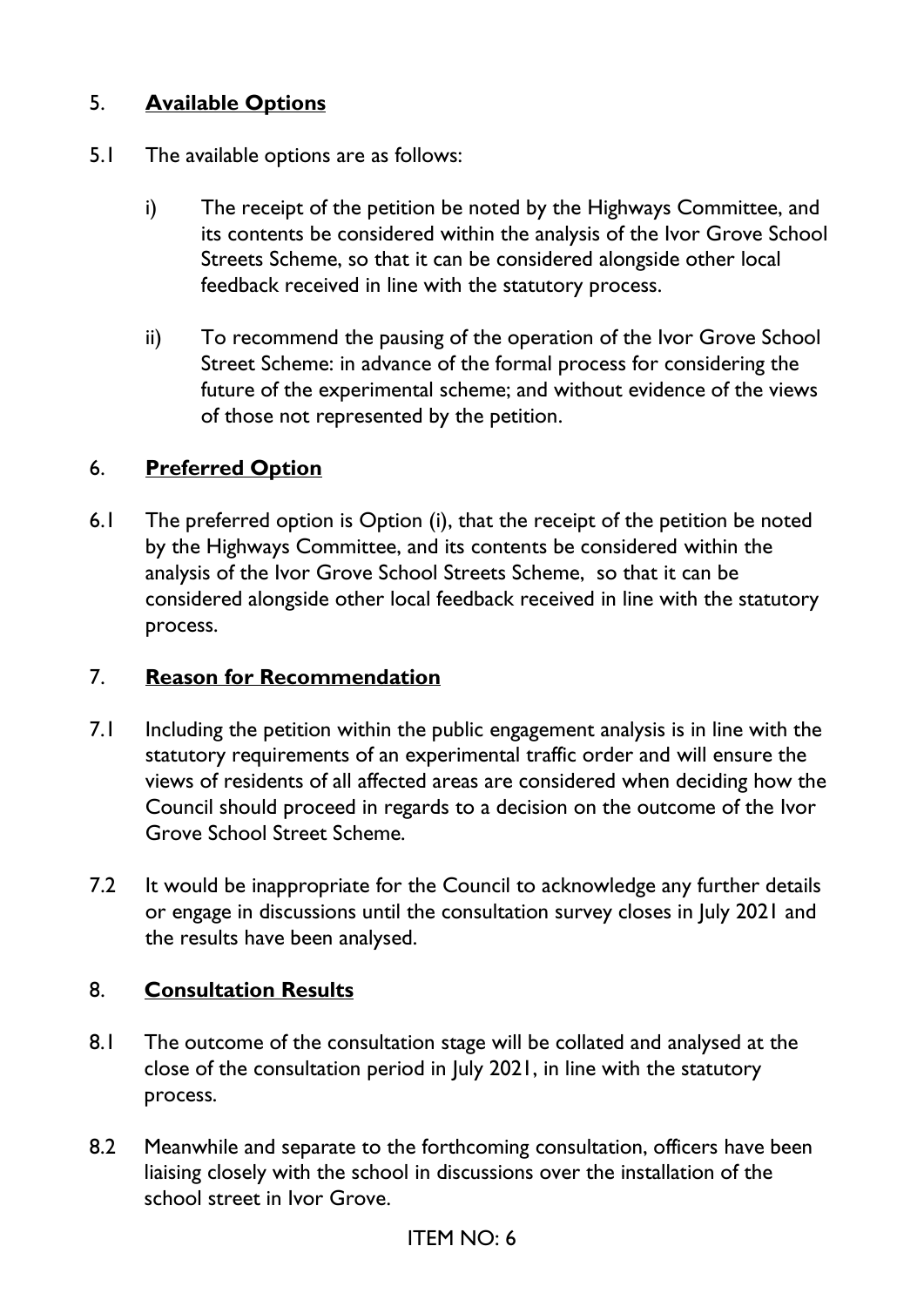## 5. **Available Options**

- 5.1 The available options are as follows:
	- i) The receipt of the petition be noted by the Highways Committee, and its contents be considered within the analysis of the Ivor Grove School Streets Scheme, so that it can be considered alongside other local feedback received in line with the statutory process.
	- ii) To recommend the pausing of the operation of the Ivor Grove School Street Scheme: in advance of the formal process for considering the future of the experimental scheme; and without evidence of the views of those not represented by the petition.

## 6. **Preferred Option**

6.1 The preferred option is Option (i), that the receipt of the petition be noted by the Highways Committee, and its contents be considered within the analysis of the Ivor Grove School Streets Scheme, so that it can be considered alongside other local feedback received in line with the statutory process.

#### 7. **Reason for Recommendation**

- 7.1 Including the petition within the public engagement analysis is in line with the statutory requirements of an experimental traffic order and will ensure the views of residents of all affected areas are considered when deciding how the Council should proceed in regards to a decision on the outcome of the Ivor Grove School Street Scheme.
- 7.2 It would be inappropriate for the Council to acknowledge any further details or engage in discussions until the consultation survey closes in July 2021 and the results have been analysed.

## 8. **Consultation Results**

- 8.1 The outcome of the consultation stage will be collated and analysed at the close of the consultation period in July 2021, in line with the statutory process.
- 8.2 Meanwhile and separate to the forthcoming consultation, officers have been liaising closely with the school in discussions over the installation of the school street in Ivor Grove.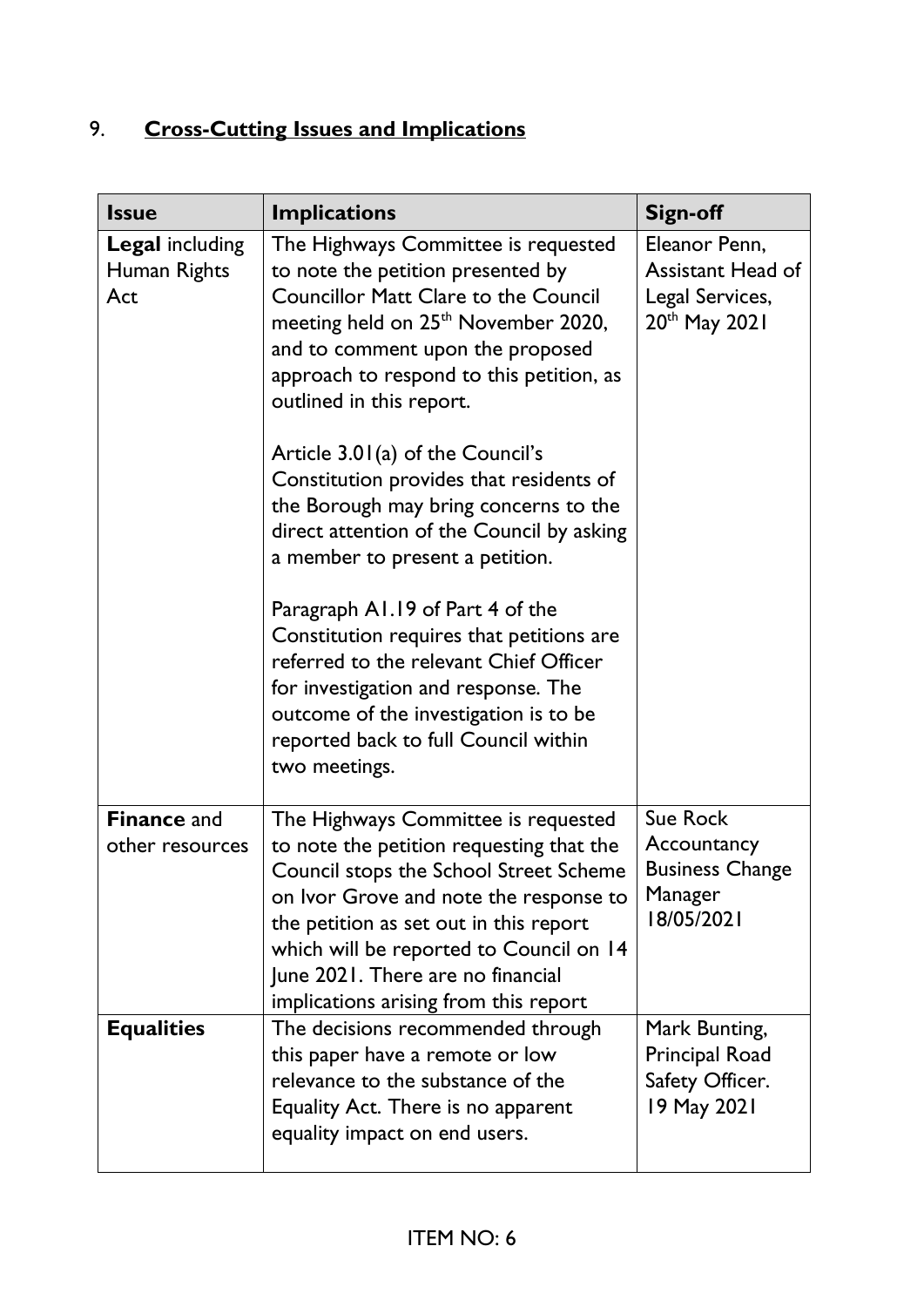# 9. **Cross-Cutting Issues and Implications**

| <b>Issue</b>                                  | <b>Implications</b>                                                                                                                                                                                                                                                                                                                                                                                                                                                                                                                                                                                                                                                                                                                                               | <b>Sign-off</b>                                                                           |
|-----------------------------------------------|-------------------------------------------------------------------------------------------------------------------------------------------------------------------------------------------------------------------------------------------------------------------------------------------------------------------------------------------------------------------------------------------------------------------------------------------------------------------------------------------------------------------------------------------------------------------------------------------------------------------------------------------------------------------------------------------------------------------------------------------------------------------|-------------------------------------------------------------------------------------------|
| <b>Legal including</b><br>Human Rights<br>Act | The Highways Committee is requested<br>to note the petition presented by<br><b>Councillor Matt Clare to the Council</b><br>meeting held on 25 <sup>th</sup> November 2020,<br>and to comment upon the proposed<br>approach to respond to this petition, as<br>outlined in this report.<br>Article 3.01(a) of the Council's<br>Constitution provides that residents of<br>the Borough may bring concerns to the<br>direct attention of the Council by asking<br>a member to present a petition.<br>Paragraph A1.19 of Part 4 of the<br>Constitution requires that petitions are<br>referred to the relevant Chief Officer<br>for investigation and response. The<br>outcome of the investigation is to be<br>reported back to full Council within<br>two meetings. | Eleanor Penn,<br><b>Assistant Head of</b><br>Legal Services,<br>20 <sup>th</sup> May 2021 |
| <b>Finance and</b><br>other resources         | The Highways Committee is requested<br>to note the petition requesting that the<br>Council stops the School Street Scheme<br>on Ivor Grove and note the response to<br>the petition as set out in this report<br>which will be reported to Council on 14<br>June 2021. There are no financial<br>implications arising from this report                                                                                                                                                                                                                                                                                                                                                                                                                            | <b>Sue Rock</b><br>Accountancy<br><b>Business Change</b><br>Manager<br>18/05/2021         |
| <b>Equalities</b>                             | The decisions recommended through<br>this paper have a remote or low<br>relevance to the substance of the<br>Equality Act. There is no apparent<br>equality impact on end users.                                                                                                                                                                                                                                                                                                                                                                                                                                                                                                                                                                                  | Mark Bunting,<br>Principal Road<br>Safety Officer.<br>19 May 2021                         |